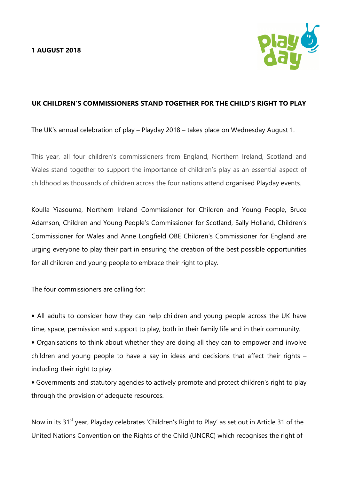

# UK CHILDREN'S COMMISSIONERS STAND TOGETHER FOR THE CHILD'S RIGHT TO PLAY

The UK's annual celebration of play – Playday 2018 – takes place on Wednesday August 1.

This year, all four children's commissioners from England, Northern Ireland, Scotland and Wales stand together to support the importance of children's play as an essential aspect of childhood as thousands of children across the four nations attend organised Playday events.

Koulla Yiasouma, Northern Ireland Commissioner for Children and Young People, Bruce Adamson, Children and Young People's Commissioner for Scotland, Sally Holland, Children's Commissioner for Wales and Anne Longfield OBE Children's Commissioner for England are urging everyone to play their part in ensuring the creation of the best possible opportunities for all children and young people to embrace their right to play.

The four commissioners are calling for:

• All adults to consider how they can help children and young people across the UK have time, space, permission and support to play, both in their family life and in their community.

• Organisations to think about whether they are doing all they can to empower and involve children and young people to have a say in ideas and decisions that affect their rights – including their right to play.

• Governments and statutory agencies to actively promote and protect children's right to play through the provision of adequate resources.

Now in its 31<sup>st</sup> year, Playday celebrates 'Children's Right to Play' as set out in Article 31 of the United Nations Convention on the Rights of the Child (UNCRC) which recognises the right of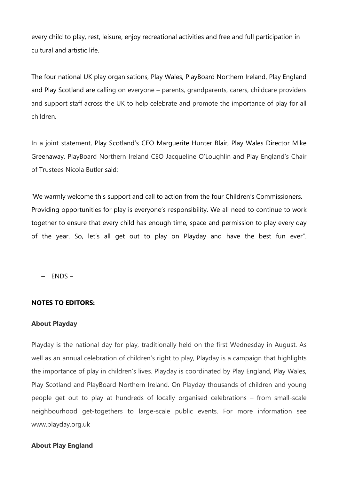every child to play, rest, leisure, enjoy recreational activities and free and full participation in cultural and artistic life.

The four national UK play organisations, Play Wales, PlayBoard Northern Ireland, Play England and Play Scotland are calling on everyone – parents, grandparents, carers, childcare providers and support staff across the UK to help celebrate and promote the importance of play for all children.

In a joint statement, Play Scotland's CEO Marguerite Hunter Blair, Play Wales Director Mike Greenaway, PlayBoard Northern Ireland CEO Jacqueline O'Loughlin and Play England's Chair of Trustees Nicola Butler said:

'We warmly welcome this support and call to action from the four Children's Commissioners. Providing opportunities for play is everyone's responsibility. We all need to continue to work together to ensure that every child has enough time, space and permission to play every day of the year. So, let's all get out to play on Playday and have the best fun ever".

– ENDS –

### NOTES TO EDITORS:

#### About Playday

Playday is the national day for play, traditionally held on the first Wednesday in August. As well as an annual celebration of children's right to play, Playday is a campaign that highlights the importance of play in children's lives. Playday is coordinated by Play England, Play Wales, Play Scotland and PlayBoard Northern Ireland. On Playday thousands of children and young people get out to play at hundreds of locally organised celebrations – from small-scale neighbourhood get-togethers to large-scale public events. For more information see www.playday.org.uk

### About Play England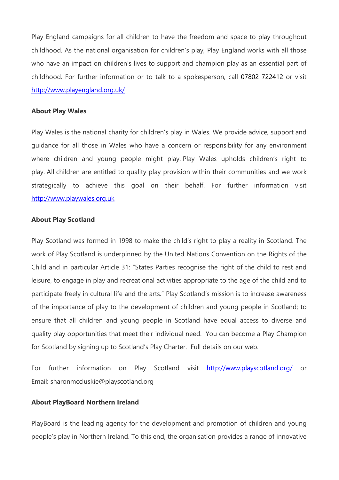Play England campaigns for all children to have the freedom and space to play throughout childhood. As the national organisation for children's play, Play England works with all those who have an impact on children's lives to support and champion play as an essential part of childhood. For further information or to talk to a spokesperson, call 07802 722412 or visit http://www.playengland.org.uk/

### About Play Wales

Play Wales is the national charity for children's play in Wales. We provide advice, support and guidance for all those in Wales who have a concern or responsibility for any environment where children and young people might play. Play Wales upholds children's right to play. All children are entitled to quality play provision within their communities and we work strategically to achieve this goal on their behalf. For further information visit http://www.playwales.org.uk

#### About Play Scotland

Play Scotland was formed in 1998 to make the child's right to play a reality in Scotland. The work of Play Scotland is underpinned by the United Nations Convention on the Rights of the Child and in particular Article 31: "States Parties recognise the right of the child to rest and leisure, to engage in play and recreational activities appropriate to the age of the child and to participate freely in cultural life and the arts." Play Scotland's mission is to increase awareness of the importance of play to the development of children and young people in Scotland; to ensure that all children and young people in Scotland have equal access to diverse and quality play opportunities that meet their individual need. You can become a Play Champion for Scotland by signing up to Scotland's Play Charter. Full details on our web.

For further information on Play Scotland visit http://www.playscotland.org/ or Email: sharonmccluskie@playscotland.org

### About PlayBoard Northern Ireland

PlayBoard is the leading agency for the development and promotion of children and young people's play in Northern Ireland. To this end, the organisation provides a range of innovative